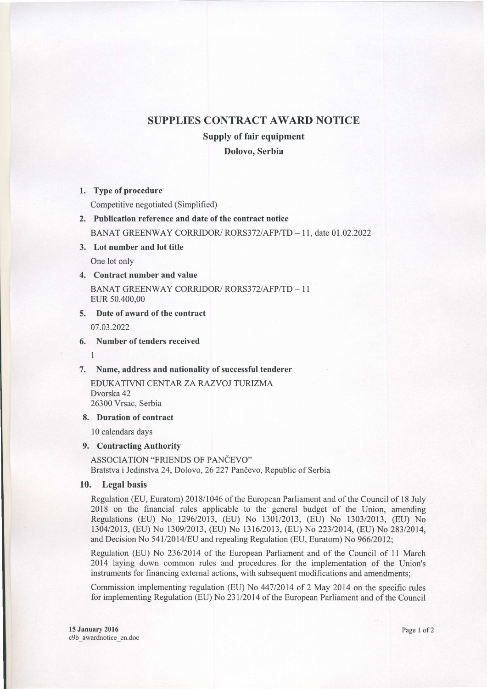# SUPPLIES CONTRACT AWARD NOTICE

# Supply of fair equipment

# Dolovo. Serbia

#### 1. Type of procedure

Competitive negotiated (Simplified)

2. Publication reference and date of the contract notice

BANAT GREENWAY CORRIDOR/ RORS372/AFP/TD - 11, date 01.02.2022

3. Lot number and lot title

One lot only

# 4. Contract number and value

BANAT GREENWAY CORRIDOR/ RORS372/AFP/TD - 11 EUR 50.400,00

# 5. Date of award of the contract

07.03.2022

l<br>I

#### 6. Number of tenders received

7. Name, address and nationality of successful tenderer

EDUKATIVNI CENTAR ZA RAZVOJ TURIZMA Dvorska 42 26300 Vrsac. Serbia

#### 8. Duration of contract

10 calendars days

# 9. Contracting Authority

ASSOCIATION "FRIENDS OF PANČEVO" Bratstva i Jedinstva 24, Dolovo, 26 227 Pančevo, Republic of Serbia

# 10. Legal basis

Regulation (EU, Euratom) 2018/1046 of the European Parliament and of the Council of l8 July 2018 on the financial rules applicable to the general budget of the Union, amending Regulations (EU) No 1296/2013, (EU) No 1301/2013, (EU) No 1303/2013, (EU) No 130412013, (EU) No 130912013, (EU) No 131612013, (EU) No 22312014, (EU) No 28312014, and Decision No 541/2014/EU and repealing Regulation (EU, Euratom) No 966/2012;

Regulation (EU) No 236/2014 of the European Parliament and of the Council of 11 March 2014 laying down common rules and procedures for the implementation of the Union's instruments for financing external actions, with subsequent modifications and amendments;

Commission implementing regulation (EU) No 44712014 of 2 May 2014 on the specific rules for implementing Regulation (EU) No 231/2014 of the European Parliament and of the Council